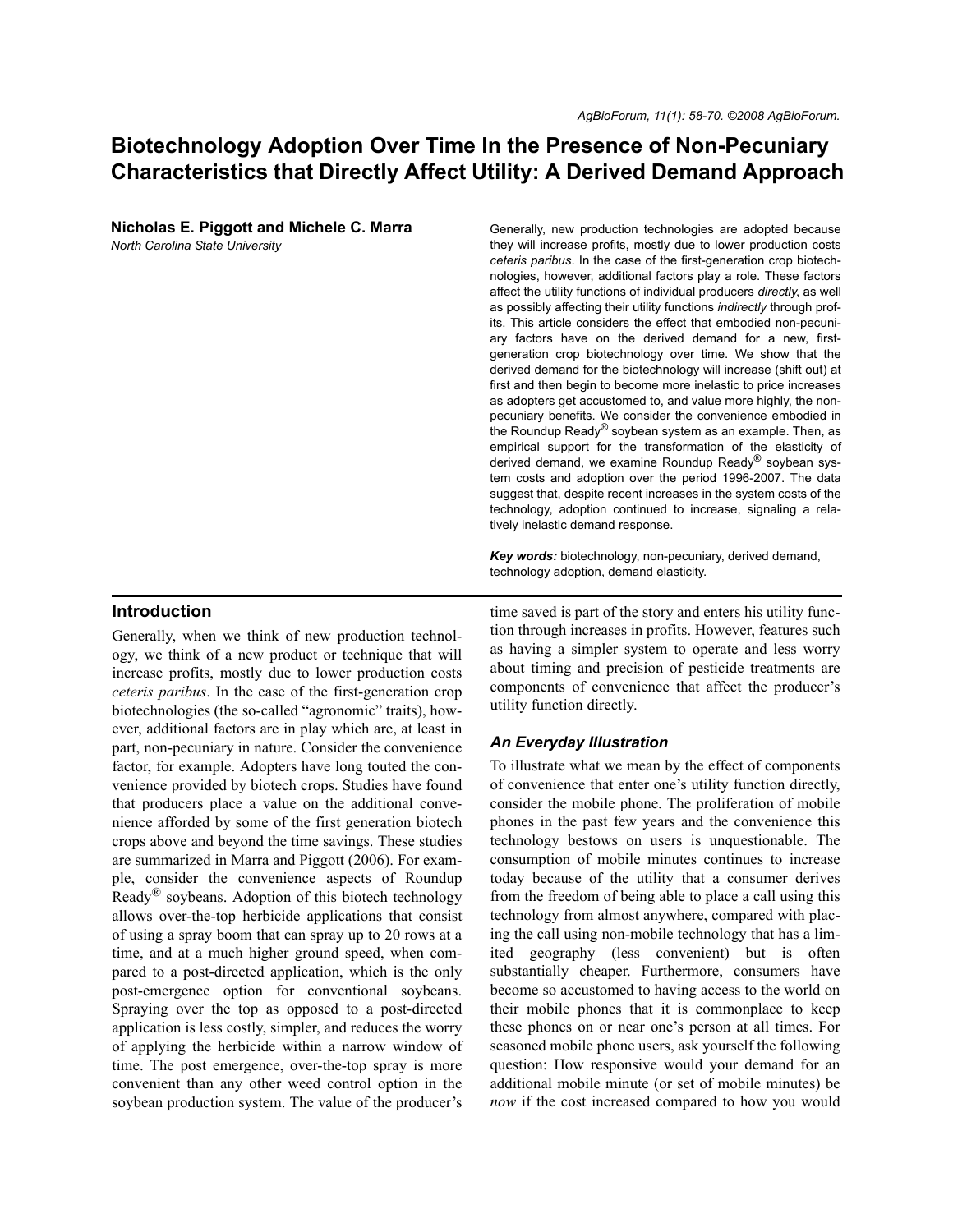# **Biotechnology Adoption Over Time In the Presence of Non-Pecuniary Characteristics that Directly Affect Utility: A Derived Demand Approach**

**Nicholas E. Piggott and Michele C. Marra**

*North Carolina State University*

Generally, new production technologies are adopted because they will increase profits, mostly due to lower production costs *ceteris paribus*. In the case of the first-generation crop biotechnologies, however, additional factors play a role. These factors affect the utility functions of individual producers *directly*, as well as possibly affecting their utility functions *indirectly* through profits. This article considers the effect that embodied non-pecuniary factors have on the derived demand for a new, firstgeneration crop biotechnology over time. We show that the derived demand for the biotechnology will increase (shift out) at first and then begin to become more inelastic to price increases as adopters get accustomed to, and value more highly, the nonpecuniary benefits. We consider the convenience embodied in the Roundup Ready® soybean system as an example. Then, as empirical support for the transformation of the elasticity of derived demand, we examine Roundup Ready® soybean system costs and adoption over the period 1996-2007. The data suggest that, despite recent increases in the system costs of the technology, adoption continued to increase, signaling a relatively inelastic demand response.

*Key words:* biotechnology, non-pecuniary, derived demand, technology adoption, demand elasticity.

### **Introduction**

Generally, when we think of new production technology, we think of a new product or technique that will increase profits, mostly due to lower production costs *ceteris paribus*. In the case of the first-generation crop biotechnologies (the so-called "agronomic" traits), however, additional factors are in play which are, at least in part, non-pecuniary in nature. Consider the convenience factor, for example. Adopters have long touted the convenience provided by biotech crops. Studies have found that producers place a value on the additional convenience afforded by some of the first generation biotech crops above and beyond the time savings. These studies are summarized in Marra and Piggott (2006). For example, consider the convenience aspects of Roundup Ready<sup>®</sup> soybeans. Adoption of this biotech technology allows over-the-top herbicide applications that consist of using a spray boom that can spray up to 20 rows at a time, and at a much higher ground speed, when compared to a post-directed application, which is the only post-emergence option for conventional soybeans. Spraying over the top as opposed to a post-directed application is less costly, simpler, and reduces the worry of applying the herbicide within a narrow window of time. The post emergence, over-the-top spray is more convenient than any other weed control option in the soybean production system. The value of the producer's

time saved is part of the story and enters his utility function through increases in profits. However, features such as having a simpler system to operate and less worry about timing and precision of pesticide treatments are components of convenience that affect the producer's utility function directly.

### *An Everyday Illustration*

To illustrate what we mean by the effect of components of convenience that enter one's utility function directly, consider the mobile phone. The proliferation of mobile phones in the past few years and the convenience this technology bestows on users is unquestionable. The consumption of mobile minutes continues to increase today because of the utility that a consumer derives from the freedom of being able to place a call using this technology from almost anywhere, compared with placing the call using non-mobile technology that has a limited geography (less convenient) but is often substantially cheaper. Furthermore, consumers have become so accustomed to having access to the world on their mobile phones that it is commonplace to keep these phones on or near one's person at all times. For seasoned mobile phone users, ask yourself the following question: How responsive would your demand for an additional mobile minute (or set of mobile minutes) be *now* if the cost increased compared to how you would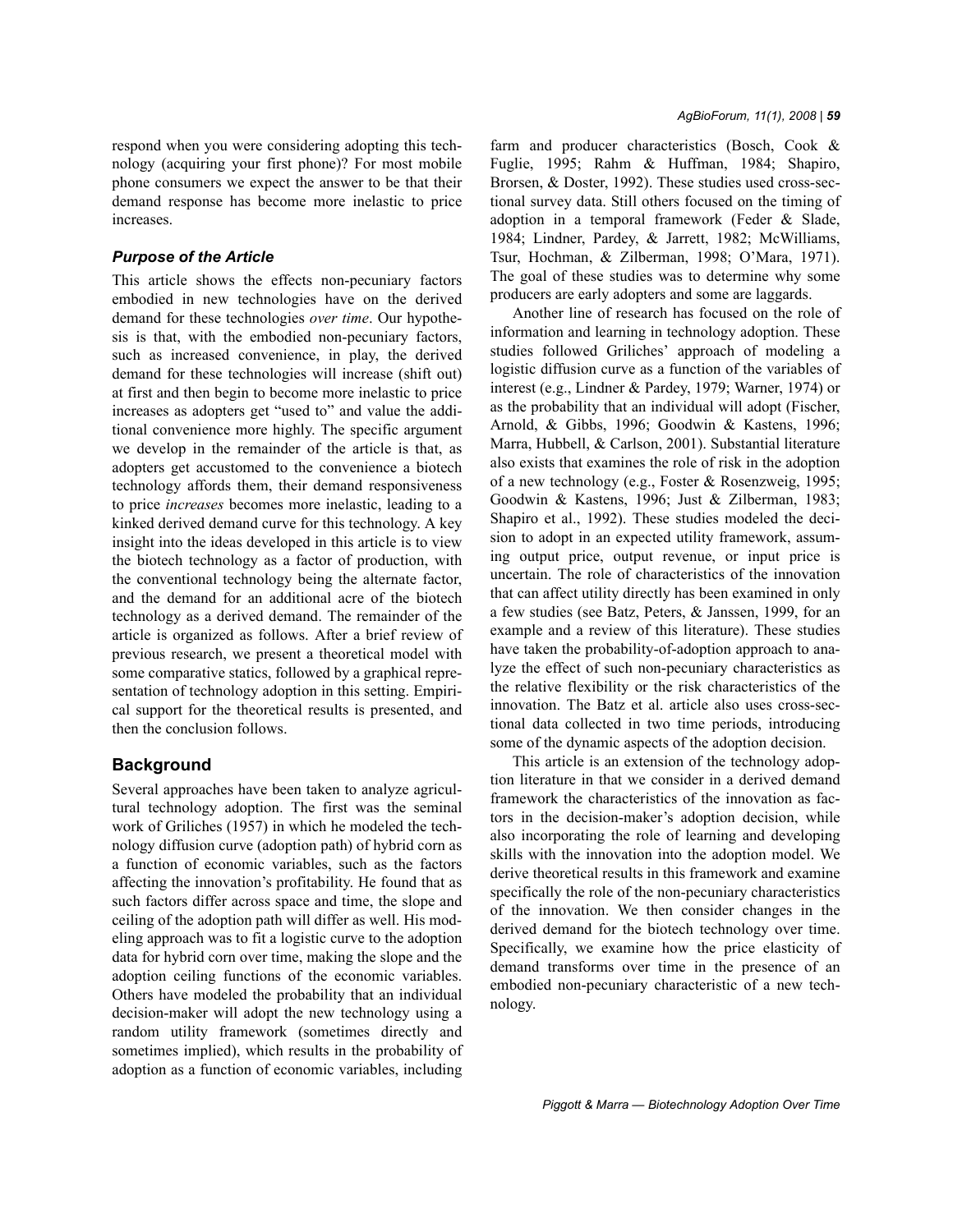respond when you were considering adopting this technology (acquiring your first phone)? For most mobile phone consumers we expect the answer to be that their demand response has become more inelastic to price increases.

### *Purpose of the Article*

This article shows the effects non-pecuniary factors embodied in new technologies have on the derived demand for these technologies *over time*. Our hypothesis is that, with the embodied non-pecuniary factors, such as increased convenience, in play, the derived demand for these technologies will increase (shift out) at first and then begin to become more inelastic to price increases as adopters get "used to" and value the additional convenience more highly. The specific argument we develop in the remainder of the article is that, as adopters get accustomed to the convenience a biotech technology affords them, their demand responsiveness to price *increases* becomes more inelastic, leading to a kinked derived demand curve for this technology. A key insight into the ideas developed in this article is to view the biotech technology as a factor of production, with the conventional technology being the alternate factor, and the demand for an additional acre of the biotech technology as a derived demand. The remainder of the article is organized as follows. After a brief review of previous research, we present a theoretical model with some comparative statics, followed by a graphical representation of technology adoption in this setting. Empirical support for the theoretical results is presented, and then the conclusion follows.

## **Background**

Several approaches have been taken to analyze agricultural technology adoption. The first was the seminal work of Griliches (1957) in which he modeled the technology diffusion curve (adoption path) of hybrid corn as a function of economic variables, such as the factors affecting the innovation's profitability. He found that as such factors differ across space and time, the slope and ceiling of the adoption path will differ as well. His modeling approach was to fit a logistic curve to the adoption data for hybrid corn over time, making the slope and the adoption ceiling functions of the economic variables. Others have modeled the probability that an individual decision-maker will adopt the new technology using a random utility framework (sometimes directly and sometimes implied), which results in the probability of adoption as a function of economic variables, including farm and producer characteristics (Bosch, Cook & Fuglie, 1995; Rahm & Huffman, 1984; Shapiro, Brorsen, & Doster, 1992). These studies used cross-sectional survey data. Still others focused on the timing of adoption in a temporal framework (Feder & Slade, 1984; Lindner, Pardey, & Jarrett, 1982; McWilliams, Tsur, Hochman, & Zilberman, 1998; O'Mara, 1971). The goal of these studies was to determine why some producers are early adopters and some are laggards.

Another line of research has focused on the role of information and learning in technology adoption. These studies followed Griliches' approach of modeling a logistic diffusion curve as a function of the variables of interest (e.g., Lindner & Pardey, 1979; Warner, 1974) or as the probability that an individual will adopt (Fischer, Arnold, & Gibbs, 1996; Goodwin & Kastens, 1996; Marra, Hubbell, & Carlson, 2001). Substantial literature also exists that examines the role of risk in the adoption of a new technology (e.g., Foster & Rosenzweig, 1995; Goodwin & Kastens, 1996; Just & Zilberman, 1983; Shapiro et al., 1992). These studies modeled the decision to adopt in an expected utility framework, assuming output price, output revenue, or input price is uncertain. The role of characteristics of the innovation that can affect utility directly has been examined in only a few studies (see Batz, Peters, & Janssen, 1999, for an example and a review of this literature). These studies have taken the probability-of-adoption approach to analyze the effect of such non-pecuniary characteristics as the relative flexibility or the risk characteristics of the innovation. The Batz et al. article also uses cross-sectional data collected in two time periods, introducing some of the dynamic aspects of the adoption decision.

This article is an extension of the technology adoption literature in that we consider in a derived demand framework the characteristics of the innovation as factors in the decision-maker's adoption decision, while also incorporating the role of learning and developing skills with the innovation into the adoption model. We derive theoretical results in this framework and examine specifically the role of the non-pecuniary characteristics of the innovation. We then consider changes in the derived demand for the biotech technology over time. Specifically, we examine how the price elasticity of demand transforms over time in the presence of an embodied non-pecuniary characteristic of a new technology.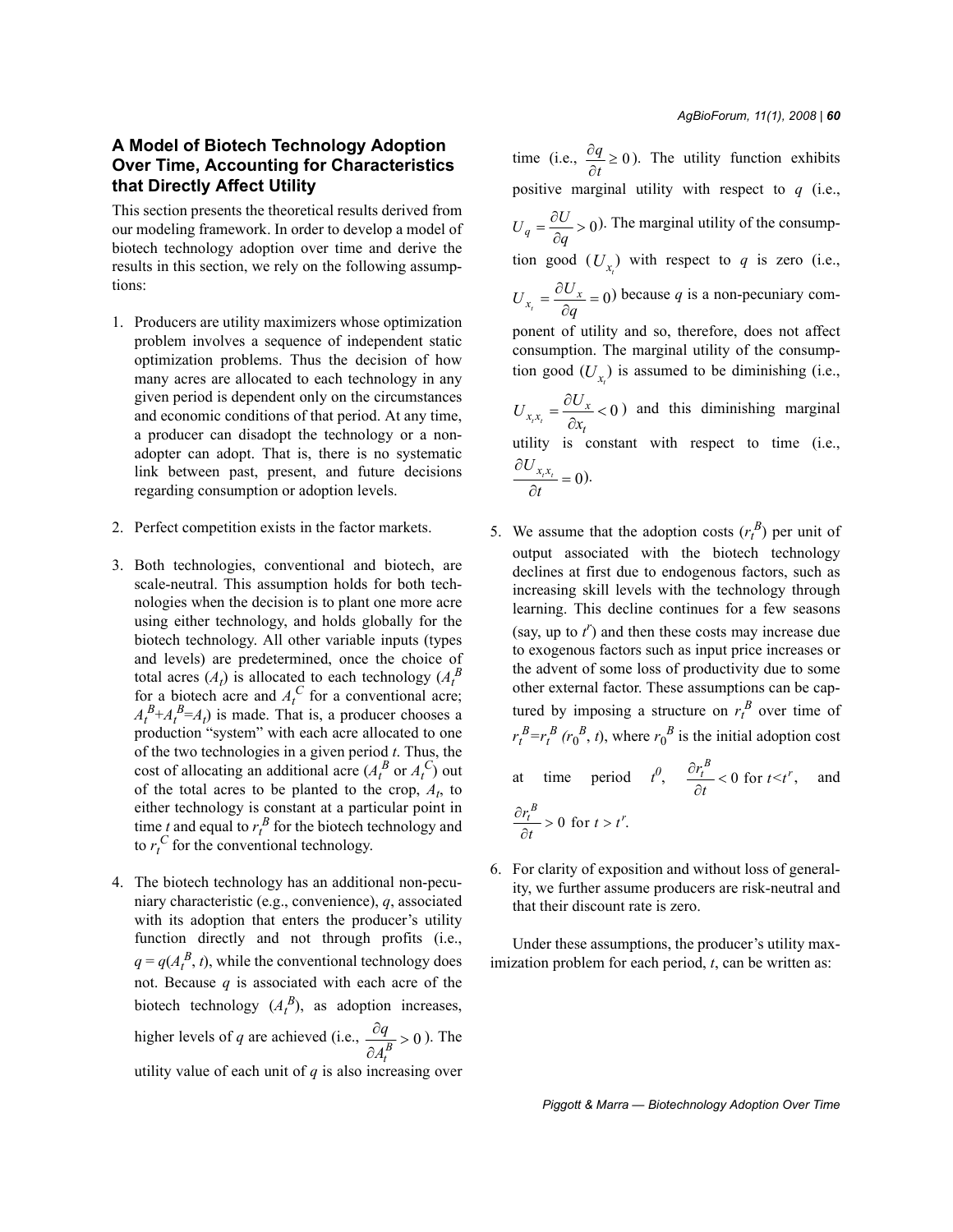# **A Model of Biotech Technology Adoption Over Time, Accounting for Characteristics that Directly Affect Utility**

This section presents the theoretical results derived from our modeling framework. In order to develop a model of biotech technology adoption over time and derive the results in this section, we rely on the following assumptions:

- 1. Producers are utility maximizers whose optimization problem involves a sequence of independent static optimization problems. Thus the decision of how many acres are allocated to each technology in any given period is dependent only on the circumstances and economic conditions of that period. At any time, a producer can disadopt the technology or a nonadopter can adopt. That is, there is no systematic link between past, present, and future decisions regarding consumption or adoption levels.
- 2. Perfect competition exists in the factor markets.
- 3. Both technologies, conventional and biotech, are scale-neutral. This assumption holds for both technologies when the decision is to plant one more acre using either technology, and holds globally for the biotech technology. All other variable inputs (types and levels) are predetermined, once the choice of total acres  $(A_t)$  is allocated to each technology  $(A_t^B)$ for a biotech acre and  $A_t^C$  for a conventional acre;  $A_t^B + A_t^B = A_t$ ) is made. That is, a producer chooses a production "system" with each acre allocated to one of the two technologies in a given period *t*. Thus, the cost of allocating an additional acre  $(A_t^B$  or  $A_t^C$ ) out of the total acres to be planted to the crop,  $A_t$ , to either technology is constant at a particular point in time *t* and equal to  $r_t^B$  for the biotech technology and to  $r_t^C$  for the conventional technology.
- 4. The biotech technology has an additional non-pecuniary characteristic (e.g., convenience), *q*, associated with its adoption that enters the producer's utility function directly and not through profits (i.e.,  $q = q(A_t^B, t)$ , while the conventional technology does not. Because *q* is associated with each acre of the biotech technology  $(A_t^B)$ , as adoption increases, higher levels of *q* are achieved (i.e.,  $\frac{dq}{\partial A_t^B} > 0$ ). The utility value of each unit of *q* is also increasing over *q A*  $\frac{\partial q}{\partial p}$ ∂

time (i.e.,  $\frac{\partial q}{\partial t} \ge 0$ ). The utility function exhibits positive marginal utility with respect to *q* (i.e.,  $U_q = \frac{\partial U}{\partial q} > 0$ ). The marginal utility of the consumption good  $(U_{x_t})$  with respect to *q* is zero (i.e.,  $U_{x_i} = \frac{\partial U_x}{\partial q} = 0$ ) because *q* is a non-pecuniary component of utility and so, therefore, does not affect consumption. The marginal utility of the consumption good  $(U_{x_t})$  is assumed to be diminishing (i.e.,  $\sum_{x_i x_i} = \frac{\partial U_x}{\partial x} < 0$ ) and this diminishing marginal utility is constant with respect to time (i.e.,  $\frac{U_{x_i x_i}}{U} = 0.$  $=\frac{\partial U}{\partial q}$ *t*  $U_{xx} = \frac{\partial U}{\partial x}$ *x*  $=\frac{\partial U_x}{\partial x}$ ∂  $\frac{\partial U_{x_i x_i}}{\partial t} =$ 

5. We assume that the adoption costs  $(r_t^B)$  per unit of output associated with the biotech technology declines at first due to endogenous factors, such as increasing skill levels with the technology through learning. This decline continues for a few seasons (say, up to  $t^r$ ) and then these costs may increase due to exogenous factors such as input price increases or the advent of some loss of productivity due to some other external factor. These assumptions can be captured by imposing a structure on  $r_t^B$  over time of  $r_t^B = r_t^B$  ( $r_0^B$ , *t*), where  $r_0^B$  is the initial adoption cost

at time period 
$$
t^0
$$
,  $\frac{\partial r_t^B}{\partial t} < 0$  for  $t < t^r$ , and  
\n $\frac{\partial r_t^B}{\partial t} > 0$  for  $t > t^r$ .

6. For clarity of exposition and without loss of generality, we further assume producers are risk-neutral and that their discount rate is zero.

Under these assumptions, the producer's utility maximization problem for each period, *t*, can be written as: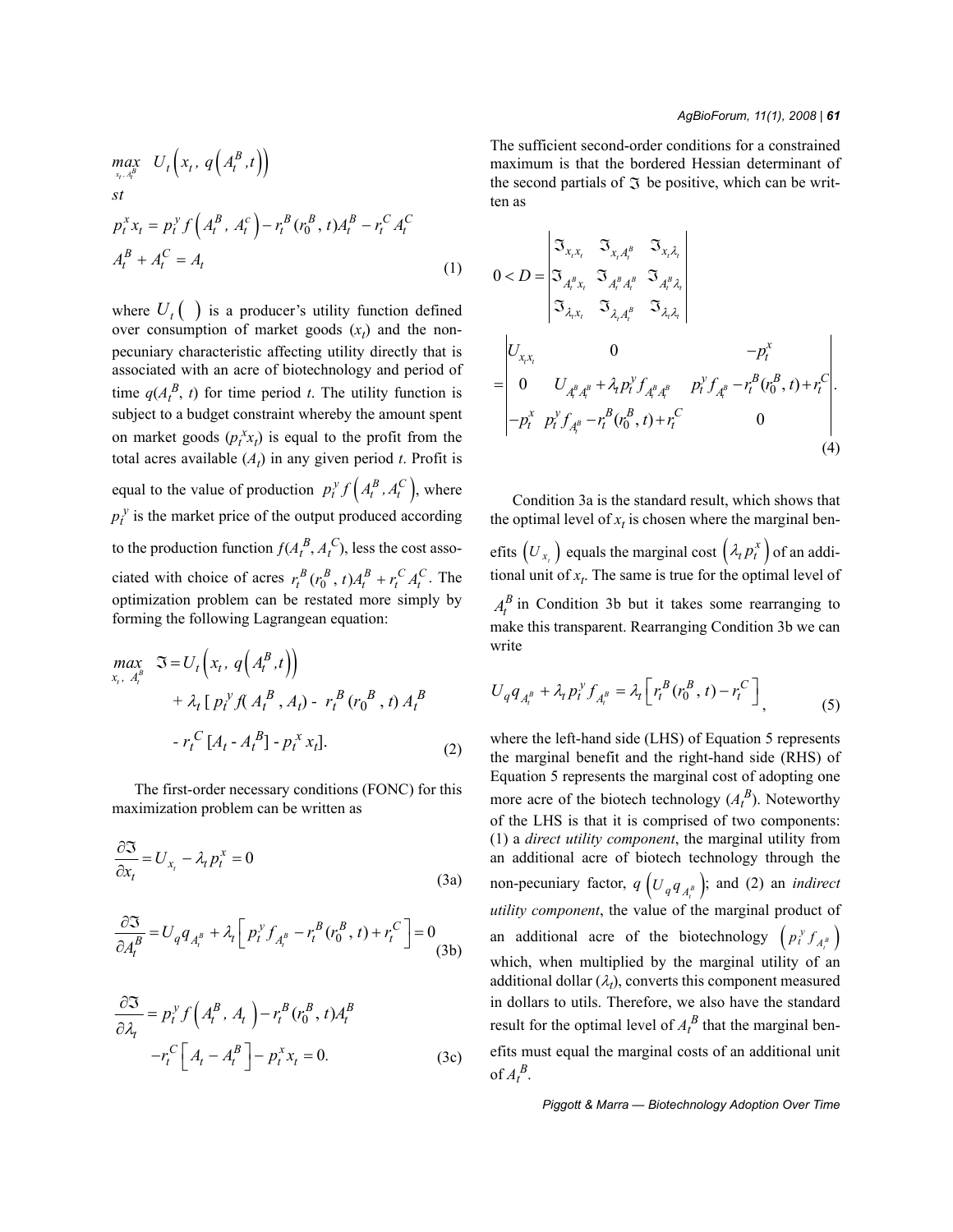$$
\begin{aligned}\n\max_{x_t, A_t^B} \ U_t \Big( x_t, \, q \Big( A_t^B, t \Big) \Big) \\
\text{s.t} \\
p_t^x x_t &= p_t^y f \Big( A_t^B, \, A_t^C \Big) - r_t^B \big( r_0^B, \, t \big) A_t^B - r_t^C \, A_t^C \\
A_t^B + A_t^C &= A_t\n\end{aligned} \tag{1}
$$

where  $U_t$  ( $\cdot$ ) is a producer's utility function defined over consumption of market goods  $(x_t)$  and the nonpecuniary characteristic affecting utility directly that is associated with an acre of biotechnology and period of time  $q(A_t^B, t)$  for time period *t*. The utility function is subject to a budget constraint whereby the amount spent on market goods  $(p_t^x x_t)$  is equal to the profit from the total acres available  $(A_t)$  in any given period *t*. Profit is equal to the value of production  $p_t^y f\left(A_t^B, A_t^C\right)$ , where  $p_t^y$  is the market price of the output produced according to the production function  $f(A_t^B, A_t^C)$ , less the cost associated with choice of acres  $r_t^B(r_0^B, t)A_t^B + r_t^C A_t^C$ . The optimization problem can be restated more simply by forming the following Lagrangean equation:

$$
\begin{aligned}\n\max_{x_t, A_t^B} \quad & \Im = U_t \left( x_t, \, q \left( A_t^B, t \right) \right) \\
&+ \lambda_t \left[ \, p_t^{\, \gamma} \, f \left( A_t^{\, B} \, , A_t \right) - \, r_t^{\, B} \left( r_0^{\, B} \, , t \right) A_t^{\, B} \\
&- r_t^{\, C} \left[ A_t - A_t^{\, B} \right] - p_t^{\, x} \, x_t \right].\n\end{aligned} \tag{2}
$$

The first-order necessary conditions (FONC) for this maximization problem can be written as

$$
\frac{\partial \mathfrak{I}}{\partial x_t} = U_{x_t} - \lambda_t p_t^x = 0
$$
\n(3a)

$$
\frac{\partial \mathfrak{I}}{\partial A_t^B} = U_q q_{A_t^B} + \lambda_t \left[ p_t^{\gamma} f_{A_t^B} - r_t^B (r_0^B, t) + r_t^C \right] = 0
$$
\n(3b)

$$
\frac{\partial \mathfrak{I}}{\partial \lambda_t} = p_t^{\gamma} f\left(A_t^B, A_t\right) - r_t^B(r_0^B, t) A_t^B
$$

$$
-r_t^C \left[A_t - A_t^B\right] - p_t^x x_t = 0. \tag{3c}
$$

The sufficient second-order conditions for a constrained maximum is that the bordered Hessian determinant of the second partials of  $\Im$  be positive, which can be written as

$$
0 < D = \begin{vmatrix} \Im_{x,x_t} & \Im_{x_t A_t^B} & \Im_{x_t \lambda_t} \\ \Im_{A_t^B x_t} & \Im_{A_t^B A_t^B} & \Im_{A_t^B \lambda_t} \\ \Im_{\lambda_t x_t} & \Im_{\lambda_t A_t^B} & \Im_{\lambda_t \lambda_t} \end{vmatrix}
$$
  
= 
$$
\begin{vmatrix} U_{x,x_t} & 0 & -p_t^x \\ 0 & U_{A_t^B A_t^B} + \lambda_t p_t^y f_{A_t^B A_t^B} & p_t^y f_{A_t^B} - r_t^B (r_0^B, t) + r_t^C \\ -p_t^x & p_t^y f_{A_t^B} - r_t^B (r_0^B, t) + r_t^C & 0 \end{vmatrix}.
$$
  
(4)

Condition 3a is the standard result, which shows that the optimal level of  $x_t$  is chosen where the marginal benefits  $(U_{x_t})$  equals the marginal cost  $(\lambda_t p_t^x)$  of an additional unit of  $x_t$ . The same is true for the optimal level of  $A_t^B$  in Condition 3b but it takes some rearranging to make this transparent. Rearranging Condition 3b we can write

$$
U_{q}q_{A_{t}^{B}} + \lambda_{t} p_{t}^{y} f_{A_{t}^{B}} = \lambda_{t} \left[ r_{t}^{B} (r_{0}^{B}, t) - r_{t}^{C} \right]_{1}
$$
 (5)

where the left-hand side (LHS) of Equation 5 represents the marginal benefit and the right-hand side (RHS) of Equation 5 represents the marginal cost of adopting one more acre of the biotech technology  $(A_t^B)$ . Noteworthy of the LHS is that it is comprised of two components: (1) a *direct utility component*, the marginal utility from an additional acre of biotech technology through the non-pecuniary factor,  $q \left( U_q q_{A_t^B} \right)$ ; and (2) an *indirect utility component*, the value of the marginal product of an additional acre of the biotechnology  $\left( p_t^{\gamma} f_{A_t^{\beta}} \right)$ which, when multiplied by the marginal utility of an additional dollar  $(\lambda_t)$ , converts this component measured in dollars to utils. Therefore, we also have the standard result for the optimal level of  $A_t^B$  that the marginal benefits must equal the marginal costs of an additional unit of  $A_t^B$ .  $p_t^y f_A$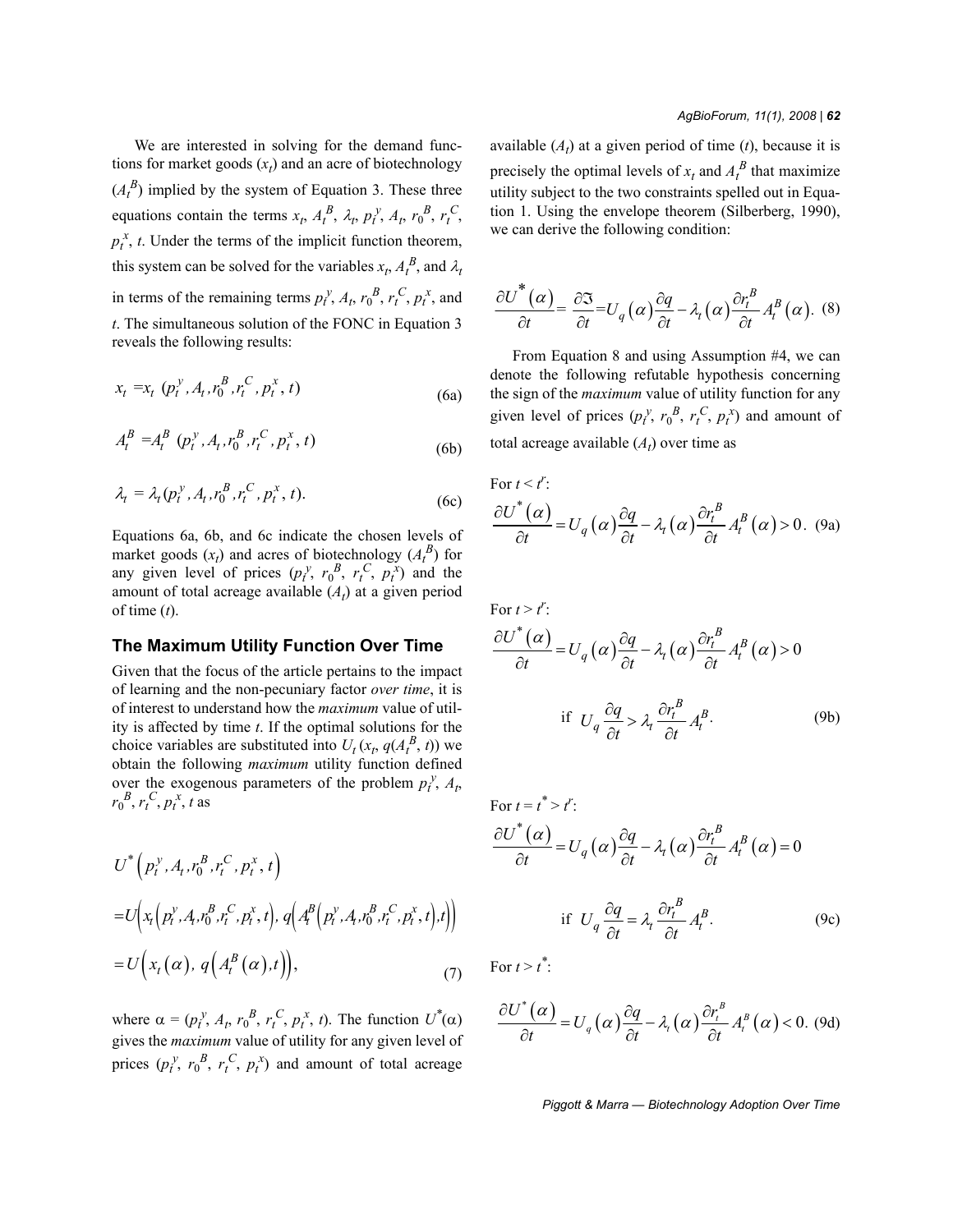We are interested in solving for the demand functions for market goods  $(x_t)$  and an acre of biotechnology  $(A_t^B)$  implied by the system of Equation 3. These three equations contain the terms  $x_t$ ,  $A_t^B$ ,  $\lambda_t$ ,  $p_t^y$ ,  $A_t$ ,  $r_0^B$ ,  $r_t^C$ ,  $p_t^x$ , *t*. Under the terms of the implicit function theorem, this system can be solved for the variables  $x_t$ ,  $A_t^B$ , and  $\lambda_t$ in terms of the remaining terms  $p_t^y$ ,  $A_t$ ,  $r_0^B$ ,  $r_t^C$ ,  $p_t^x$ , and *t*. The simultaneous solution of the FONC in Equation 3 reveals the following results:

$$
x_t = x_t \left( p_t^y, A_t, r_0^B, r_t^C, p_t^x, t \right) \tag{6a}
$$

$$
A_t^B = A_t^B \left( p_t^y, A_t, r_0^B, r_t^C, p_t^x, t \right)
$$
\n(6b)

$$
\lambda_t = \lambda_t (p_t^y, A_t, r_0^B, r_t^C, p_t^x, t).
$$
 (6c)

Equations 6a, 6b, and 6c indicate the chosen levels of market goods  $(x_t)$  and acres of biotechnology  $(A_t^B)$  for any given level of prices  $(p_t^y, r_0^B, r_t^C, p_t^x)$  and the amount of total acreage available  $(A_t)$  at a given period of time (*t*).

### **The Maximum Utility Function Over Time**

Given that the focus of the article pertains to the impact of learning and the non-pecuniary factor *over time*, it is of interest to understand how the *maximum* value of utility is affected by time *t*. If the optimal solutions for the choice variables are substituted into  $U_t$  ( $x_t$ ,  $q(A_t^B, t)$ ) we obtain the following *maximum* utility function defined over the exogenous parameters of the problem  $p_t^y$ ,  $A_t$ ,  $r_0^B, r_t^C, p_t^x, t$  as

$$
U^* (p_t^y, A_t, r_0^B, r_t^C, p_t^x, t)
$$
  
=  $U (x_t (p_t^y, A_t, r_0^B, r_t^C, p_t^x, t), q (A_t^B (p_t^y, A_t, r_0^B, r_t^C, p_t^x, t), t))$   
=  $U (x_t (\alpha), q (A_t^B (\alpha), t)),$  (7)

where  $\alpha = (p_t^y, A_t, r_0^B, r_t^C, p_t^x, t)$ . The function  $U^*(\alpha)$ gives the *maximum* value of utility for any given level of prices  $(p_t^y, r_0^B, r_t^C, p_t^x)$  and amount of total acreage

#### *AgBioForum, 11(1), 2008 | 62*

available  $(A_t)$  at a given period of time  $(t)$ , because it is precisely the optimal levels of  $x_t$  and  $A_t^B$  that maximize utility subject to the two constraints spelled out in Equation 1. Using the envelope theorem (Silberberg, 1990), we can derive the following condition:

$$
\frac{\partial U^{\ast}(\alpha)}{\partial t} = \frac{\partial \mathfrak{I}}{\partial t} = U_q(\alpha) \frac{\partial q}{\partial t} - \lambda_t(\alpha) \frac{\partial r_t^B}{\partial t} A_t^B(\alpha). \tag{8}
$$

From Equation 8 and using Assumption #4, we can denote the following refutable hypothesis concerning the sign of the *maximum* value of utility function for any given level of prices  $(p_t^y, r_0^B, r_t^C, p_t^x)$  and amount of total acreage available  $(A_t)$  over time as

For 
$$
t < t^r
$$
:  
\n
$$
\frac{\partial U^*(\alpha)}{\partial t} = U_q(\alpha) \frac{\partial q}{\partial t} - \lambda_t(\alpha) \frac{\partial r_t^B}{\partial t} A_t^B(\alpha) > 0.
$$
\n(9a)

For  $t > t^r$ :

$$
\frac{\partial U^*(\alpha)}{\partial t} = U_q(\alpha) \frac{\partial q}{\partial t} - \lambda_t(\alpha) \frac{\partial r_t^B}{\partial t} A_t^B(\alpha) > 0
$$
  
if  $U_q \frac{\partial q}{\partial t} > \lambda_t \frac{\partial r_t^B}{\partial t} A_t^B$ . (9b)

For 
$$
t = t^* > t^r
$$
:  
\n
$$
\frac{\partial U^*(\alpha)}{\partial t} = U_q(\alpha) \frac{\partial q}{\partial t} - \lambda_t(\alpha) \frac{\partial r_t^B}{\partial t} A_t^B(\alpha) = 0
$$
\nif  $U_q \frac{\partial q}{\partial t} = \lambda_t \frac{\partial r_t^B}{\partial t} A_t^B$ . (9c)

For  $t > t^*$ :

$$
\frac{\partial U^*(\alpha)}{\partial t} = U_q(\alpha) \frac{\partial q}{\partial t} - \lambda_t(\alpha) \frac{\partial r_t^B}{\partial t} A_t^B(\alpha) < 0.
$$
 (9d)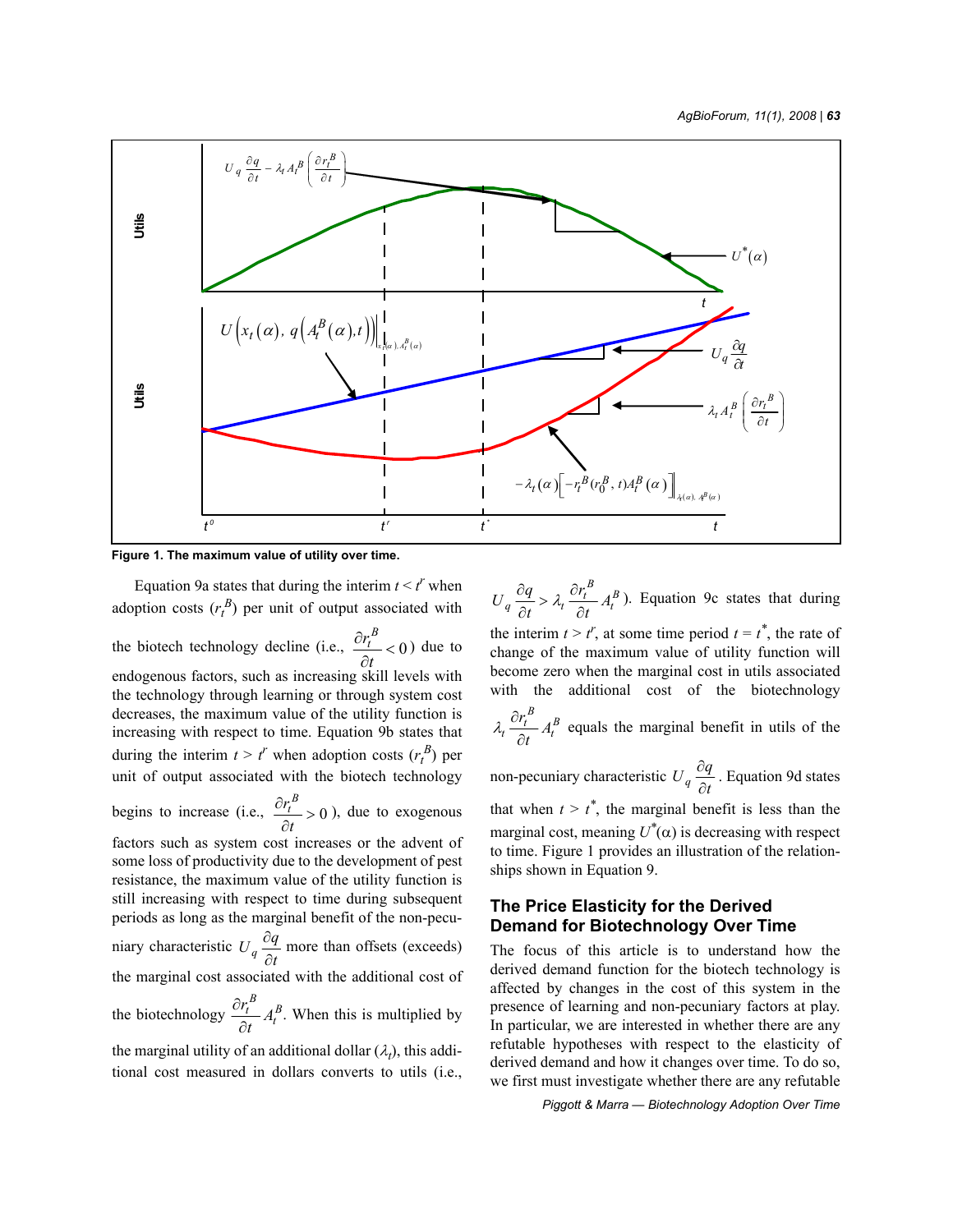

**Figure 1. The maximum value of utility over time.**

Equation 9a states that during the interim  $t < t^r$  when adoption costs  $(r_t^B)$  per unit of output associated with the biotech technology decline (i.e.,  $\frac{U_t}{2} < 0$ ) due to endogenous factors, such as increasing skill levels with the technology through learning or through system cost decreases, the maximum value of the utility function is increasing with respect to time. Equation 9b states that during the interim  $t > t^r$  when adoption costs  $(r_t^B)$  per unit of output associated with the biotech technology begins to increase (i.e.,  $\frac{U_t}{I} > 0$ ), due to exogenous factors such as system cost increases or the advent of some loss of productivity due to the development of pest resistance, the maximum value of the utility function is still increasing with respect to time during subsequent periods as long as the marginal benefit of the non-pecuniary characteristic  $U_q \frac{\partial q}{\partial t}$  more than offsets (exceeds) the marginal cost associated with the additional cost of the biotechnology  $\frac{U_t}{I} A_t^B$ . When this is multiplied by the marginal utility of an additional dollar  $(\lambda_t)$ , this addi-*B tr t*  $\frac{\partial r_t^B}{\partial t}$  < ∂ *B tr t*  $\frac{\partial r_t^B}{\partial t}$  > ∂ ∂  $\frac{r_t^B}{2t}A_t^B$ *t* ∂ ∂

tional cost measured in dollars converts to utils (i.e.,

 $U_q \frac{\partial q}{\partial t} > \lambda_t \frac{\partial r_t^B}{\partial t} A_t^B$ ). Equation 9c states that during the interim  $t > t^r$ , at some time period  $t = t^*$ , the rate of change of the maximum value of utility function will become zero when the marginal cost in utils associated with the additional cost of the biotechnology equals the marginal benefit in utils of the  $\frac{\partial q}{\partial t} > \lambda_t \frac{\partial r}{\partial t}$  $\int_t^B \frac{\partial r_t^B}{\partial t} A_t^B$ <sup>λ</sup> <sup>∂</sup> ∂

non-pecuniary characteristic  $U_q \frac{\partial q}{\partial t}$ . Equation 9d states that when  $t > t^*$ , the marginal benefit is less than the marginal cost, meaning  $U^*(\alpha)$  is decreasing with respect to time. Figure 1 provides an illustration of the relationships shown in Equation 9. ∂ ∂

# **The Price Elasticity for the Derived Demand for Biotechnology Over Time**

The focus of this article is to understand how the derived demand function for the biotech technology is affected by changes in the cost of this system in the presence of learning and non-pecuniary factors at play. In particular, we are interested in whether there are any refutable hypotheses with respect to the elasticity of derived demand and how it changes over time. To do so, we first must investigate whether there are any refutable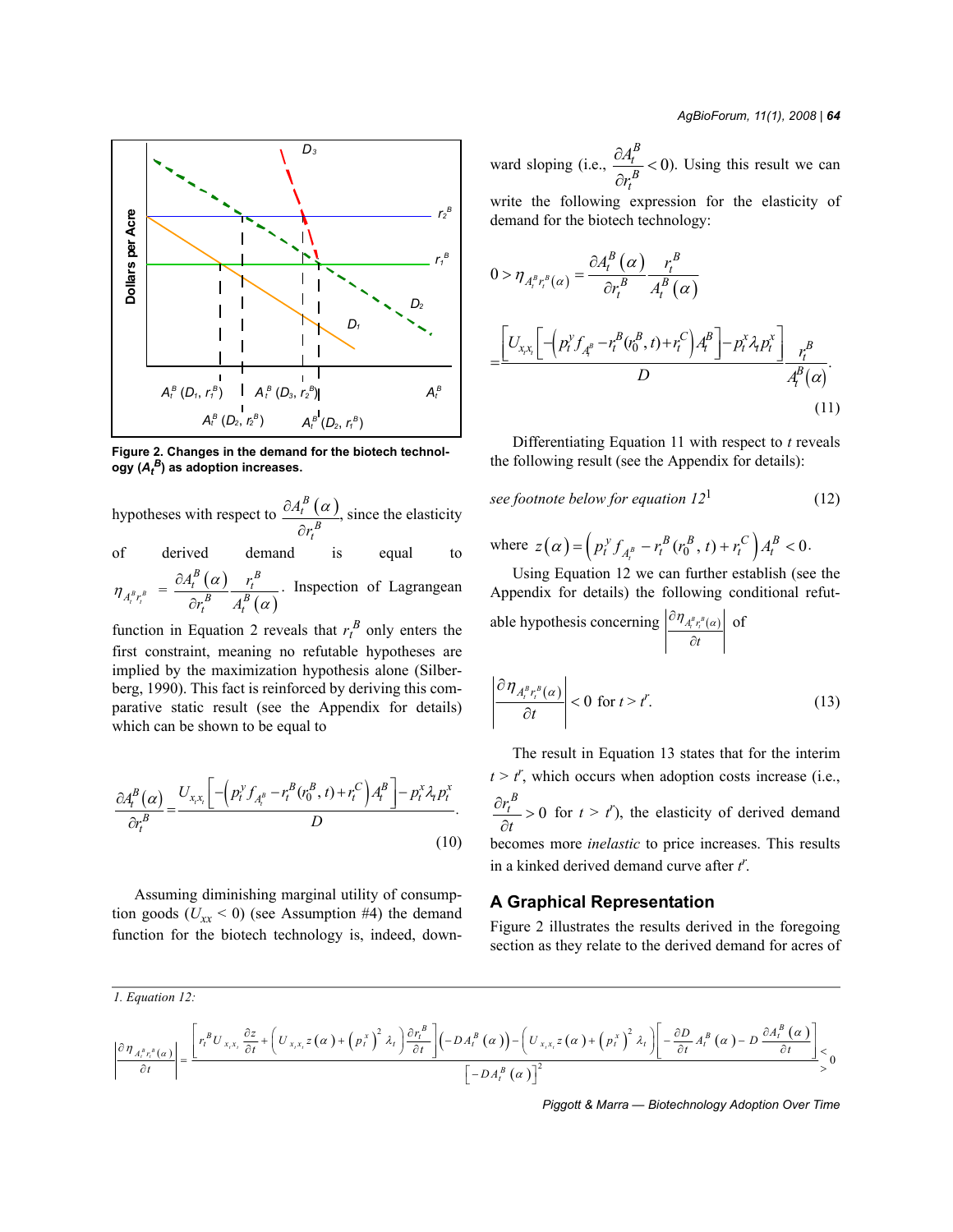

**Figure 2. Changes in the demand for the biotech technology (***At <sup>B</sup>***) as adoption increases.**

hypotheses with respect to  $\frac{\partial A_i^B(\alpha)}{\partial \beta}$ , since the elasticity *B t A r*  $\partial A_t^B$  (  $\alpha$ ∂

of derived demand is equal to  $\binom{B}{t}$   $\left(\alpha\right)$   $r_t^B$  $A_t^B(\alpha)$  r<sub>i</sub> ∂

 $\int_{t_1^{B}r_i^{B}}^{B} = \frac{\partial A_i^{B}(\alpha)}{\partial r_i^{B}} \frac{r_i^{B}}{A_i^{B}(\alpha)}$ . Inspection of Lagrangean  $A_t^B r_t^B$   $\overline{O r_t^B}$   $A_t^B$  $r_t^B$  *A*  $\eta_{A_t^B r_t^B} = \frac{\partial A_t^A(\alpha)}{\partial r^B} \frac{r_t^B}{A_t^B(\alpha)}$ ∂

function in Equation 2 reveals that  $r_t^B$  only enters the first constraint, meaning no refutable hypotheses are implied by the maximization hypothesis alone (Silberberg, 1990). This fact is reinforced by deriving this comparative static result (see the Appendix for details) which can be shown to be equal to

$$
\frac{\partial A_t^B(\alpha)}{\partial r_t^B} = \frac{U_{x,x_t} \left[ -\left( p_t^y f_{A_t^B} - r_t^B(r_0^B, t) + r_t^C \right) A_t^B \right] - p_t^x \lambda_t p_t^x}{D}.
$$
\n(10)

Assuming diminishing marginal utility of consumption goods ( $U_{xx}$  < 0) (see Assumption #4) the demand function for the biotech technology is, indeed, down-

ward sloping (i.e.,  $\frac{U - I}{R} < 0$ ). Using this result we can write the following expression for the elasticity of demand for the biotech technology: *B t B t A r*  $\frac{\partial A_t^B}{\partial t}$ ∂

$$
0 > \eta_{A_t^B r_t^B(\alpha)} = \frac{\partial A_t^B(\alpha)}{\partial r_t^B} \frac{r_t^B}{A_t^B(\alpha)}
$$
  
= 
$$
\frac{\left[U_{x,x_t}\left[-\left(p_t^y f_{A_t^B} - r_t^B(r_0^B, t) + r_t^C\right)A_t^B\right] - p_t^x \lambda_t p_t^x\right]}{D} \frac{r_t^B}{A_t^B(\alpha)}.
$$
(11)

Differentiating Equation 11 with respect to *t* reveals the following result (see the Appendix for details):

see footnote below for equation 
$$
12^1
$$
 (12)

where 
$$
z(\alpha) = (p_t^y f_{A_t^B} - r_t^B (r_0^B, t) + r_t^C) A_t^B < 0.
$$

Using Equation 12 we can further establish (see the Appendix for details) the following conditional refutable hypothesis concerning  $\left| {}^{C}\eta_{A_t^B r_t^B}(\alpha) \right|$  of *t*  $\partial \eta_{A^B r^B(\alpha)}^{\phantom{A^B} }$ ∂

$$
\left| \frac{\partial \eta_{A_i^B r_i^B(\alpha)}}{\partial t} \right| < 0 \text{ for } t > t'.\tag{13}
$$

The result in Equation 13 states that for the interim  $t > t'$ , which occurs when adoption costs increase (i.e., 0 for  $t > t'$ ), the elasticity of derived demand becomes more *inelastic* to price increases. This results in a kinked derived demand curve after *t r* . *B tr t*  $\frac{\partial r_t^B}{\partial r}$ ∂

## **A Graphical Representation**

Figure 2 illustrates the results derived in the foregoing section as they relate to the derived demand for acres of

$$
\frac{\left| \int_{\mathcal{A}_{A_{i}}^{B} r_{i}}^{B}(\alpha) \right|}{\left| \int_{\mathcal{A}_{i}}^{B} \left| \int_{\mathcal{A}_{i}}^{B} \left| \left( \int_{x_{i}x_{i}}^{B} \frac{\partial z}{\partial t} + \left( \int_{x_{i}x_{i}}^{B} z(\alpha) + \left( p_{i}^{x} \right)^{2} \lambda_{i} \right) \frac{\partial r_{i}^{B}}{\partial t} \right) \right| \left| \left( -DA_{i}^{B}(\alpha) \right) - \left( \int_{x_{i}x_{i}}^{B} z(\alpha) + \left( p_{i}^{x} \right)^{2} \lambda_{i} \right) \right| - \frac{\partial D}{\partial t} A_{i}^{B}(\alpha) - D \frac{\partial A_{i}^{B}(\alpha)}{\partial t} \right|}{\left| \int_{0}^{B} \left| \int_{\mathcal{A}_{i}}^{B} \left| \left( \alpha \right) \right| \right|^{2}} \leq 0
$$

*Piggott & Marra — Biotechnology Adoption Over Time*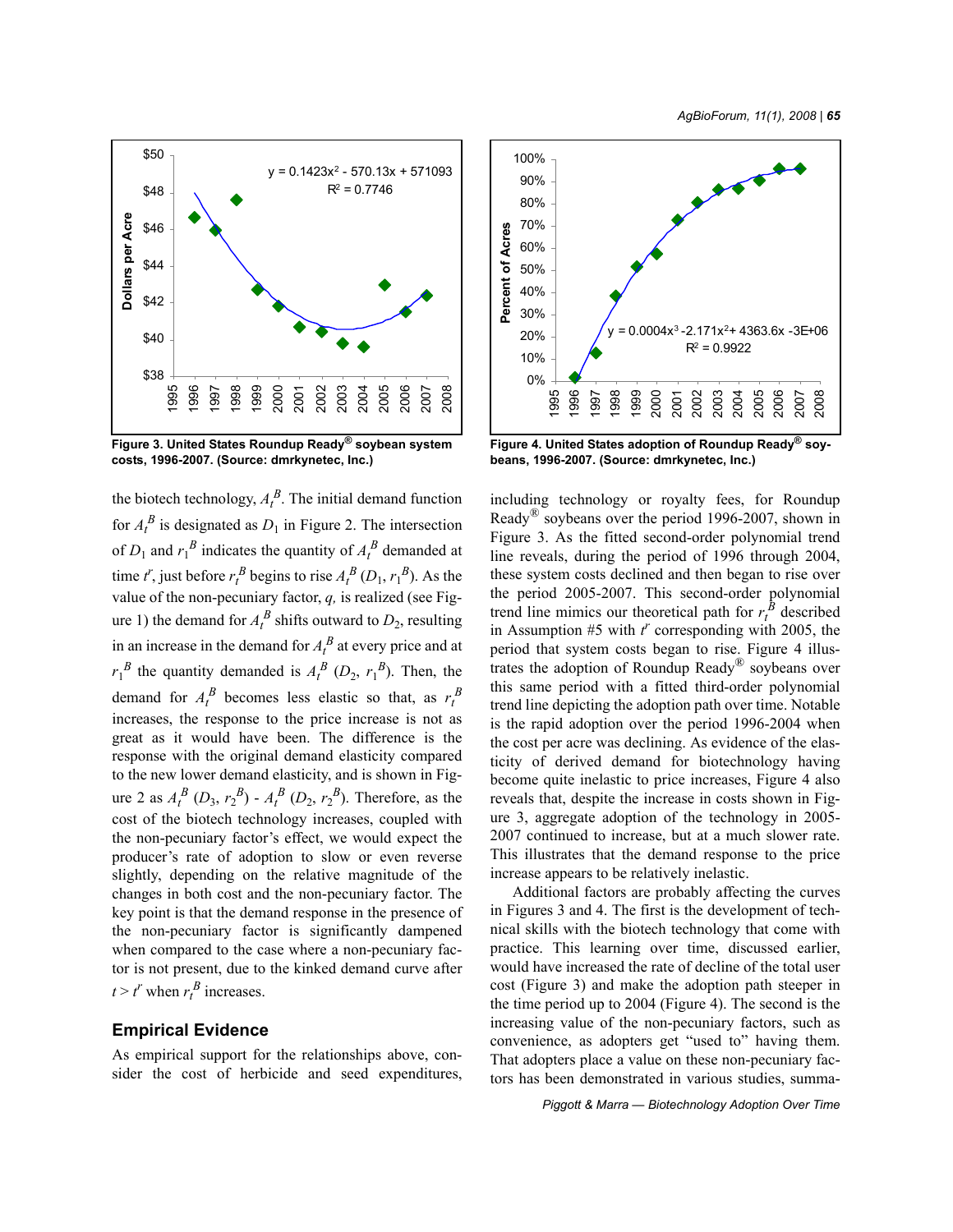

**Figure 3. United States Roundup Ready® soybean system costs, 1996-2007. (Source: dmrkynetec, Inc.)**

the biotech technology,  $A_t^B$ . The initial demand function for  $A_t^B$  is designated as  $D_1$  in Figure 2. The intersection of  $D_1$  and  $r_1^B$  indicates the quantity of  $A_t^B$  demanded at time  $t^r$ , just before  $r_t^B$  begins to rise  $A_t^B(D_1, r_1^B)$ . As the value of the non-pecuniary factor, *q,* is realized (see Figure 1) the demand for  $A_t^B$  shifts outward to  $D_2$ , resulting in an increase in the demand for  $A_t^B$  at every price and at  $r_1^B$  the quantity demanded is  $A_t^B$  ( $D_2$ ,  $r_1^B$ ). Then, the demand for  $A_t^B$  becomes less elastic so that, as  $r_t^B$ increases, the response to the price increase is not as great as it would have been. The difference is the response with the original demand elasticity compared to the new lower demand elasticity, and is shown in Figure 2 as  $A_t^B$  ( $D_3$ ,  $r_2^B$ ) -  $A_t^B$  ( $D_2$ ,  $r_2^B$ ). Therefore, as the cost of the biotech technology increases, coupled with the non-pecuniary factor's effect, we would expect the producer's rate of adoption to slow or even reverse slightly, depending on the relative magnitude of the changes in both cost and the non-pecuniary factor. The key point is that the demand response in the presence of the non-pecuniary factor is significantly dampened when compared to the case where a non-pecuniary factor is not present, due to the kinked demand curve after  $t > t^r$  when  $r_t^B$  increases.

# **Empirical Evidence**

As empirical support for the relationships above, consider the cost of herbicide and seed expenditures,



**Figure 4. United States adoption of Roundup Ready® soybeans, 1996-2007. (Source: dmrkynetec, Inc.)**

including technology or royalty fees, for Roundup Ready<sup>®</sup> soybeans over the period 1996-2007, shown in Figure 3. As the fitted second-order polynomial trend line reveals, during the period of 1996 through 2004, these system costs declined and then began to rise over the period 2005-2007. This second-order polynomial trend line mimics our theoretical path for  $r_t^B$  described in Assumption #5 with  $t^r$  corresponding with 2005, the period that system costs began to rise. Figure 4 illustrates the adoption of Roundup Ready® soybeans over this same period with a fitted third-order polynomial trend line depicting the adoption path over time. Notable is the rapid adoption over the period 1996-2004 when the cost per acre was declining. As evidence of the elasticity of derived demand for biotechnology having become quite inelastic to price increases, Figure 4 also reveals that, despite the increase in costs shown in Figure 3, aggregate adoption of the technology in 2005- 2007 continued to increase, but at a much slower rate. This illustrates that the demand response to the price increase appears to be relatively inelastic.

Additional factors are probably affecting the curves in Figures 3 and 4. The first is the development of technical skills with the biotech technology that come with practice. This learning over time, discussed earlier, would have increased the rate of decline of the total user cost (Figure 3) and make the adoption path steeper in the time period up to 2004 (Figure 4). The second is the increasing value of the non-pecuniary factors, such as convenience, as adopters get "used to" having them. That adopters place a value on these non-pecuniary factors has been demonstrated in various studies, summa-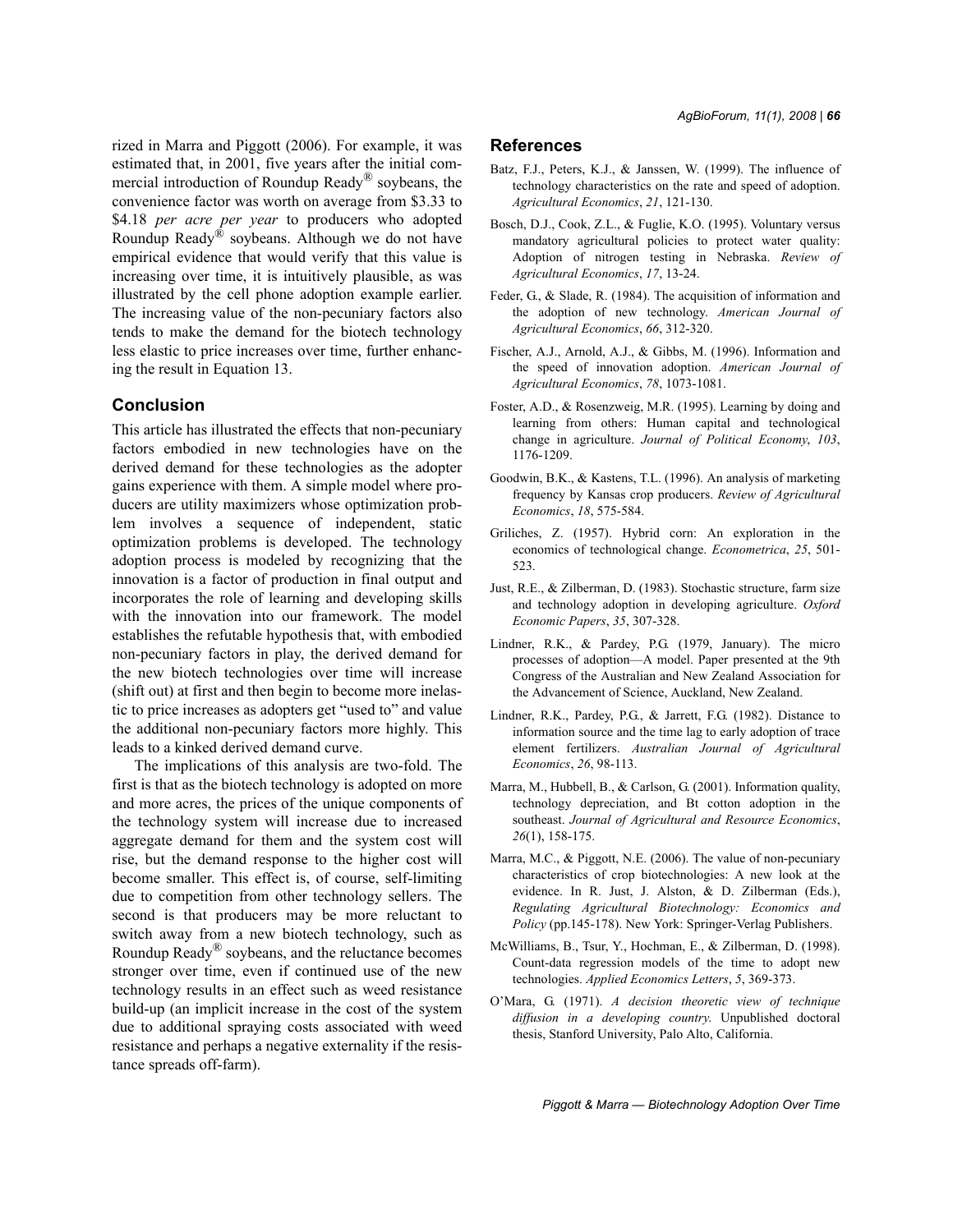rized in Marra and Piggott (2006). For example, it was estimated that, in 2001, five years after the initial commercial introduction of Roundup Ready® soybeans, the convenience factor was worth on average from \$3.33 to \$4.18 *per acre per year* to producers who adopted Roundup Ready<sup>®</sup> soybeans. Although we do not have empirical evidence that would verify that this value is increasing over time, it is intuitively plausible, as was illustrated by the cell phone adoption example earlier. The increasing value of the non-pecuniary factors also tends to make the demand for the biotech technology less elastic to price increases over time, further enhancing the result in Equation 13.

# **Conclusion**

This article has illustrated the effects that non-pecuniary factors embodied in new technologies have on the derived demand for these technologies as the adopter gains experience with them. A simple model where producers are utility maximizers whose optimization problem involves a sequence of independent, static optimization problems is developed. The technology adoption process is modeled by recognizing that the innovation is a factor of production in final output and incorporates the role of learning and developing skills with the innovation into our framework. The model establishes the refutable hypothesis that, with embodied non-pecuniary factors in play, the derived demand for the new biotech technologies over time will increase (shift out) at first and then begin to become more inelastic to price increases as adopters get "used to" and value the additional non-pecuniary factors more highly. This leads to a kinked derived demand curve.

The implications of this analysis are two-fold. The first is that as the biotech technology is adopted on more and more acres, the prices of the unique components of the technology system will increase due to increased aggregate demand for them and the system cost will rise, but the demand response to the higher cost will become smaller. This effect is, of course, self-limiting due to competition from other technology sellers. The second is that producers may be more reluctant to switch away from a new biotech technology, such as Roundup Ready® soybeans, and the reluctance becomes stronger over time, even if continued use of the new technology results in an effect such as weed resistance build-up (an implicit increase in the cost of the system due to additional spraying costs associated with weed resistance and perhaps a negative externality if the resistance spreads off-farm).

# **References**

- Batz, F.J., Peters, K.J., & Janssen, W. (1999). The influence of technology characteristics on the rate and speed of adoption. *Agricultural Economics*, *21*, 121-130.
- Bosch, D.J., Cook, Z.L., & Fuglie, K.O. (1995). Voluntary versus mandatory agricultural policies to protect water quality: Adoption of nitrogen testing in Nebraska. *Review of Agricultural Economics*, *17*, 13-24.
- Feder, G., & Slade, R. (1984). The acquisition of information and the adoption of new technology. *American Journal of Agricultural Economics*, *66*, 312-320.
- Fischer, A.J., Arnold, A.J., & Gibbs, M. (1996). Information and the speed of innovation adoption. *American Journal of Agricultural Economics*, *78*, 1073-1081.
- Foster, A.D., & Rosenzweig, M.R. (1995). Learning by doing and learning from others: Human capital and technological change in agriculture. *Journal of Political Economy*, *103*, 1176-1209.
- Goodwin, B.K., & Kastens, T.L. (1996). An analysis of marketing frequency by Kansas crop producers. *Review of Agricultural Economics*, *18*, 575-584.
- Griliches, Z. (1957). Hybrid corn: An exploration in the economics of technological change. *Econometrica*, *25*, 501- 523.
- Just, R.E., & Zilberman, D. (1983). Stochastic structure, farm size and technology adoption in developing agriculture. *Oxford Economic Papers*, *35*, 307-328.
- Lindner, R.K., & Pardey, P.G. (1979, January). The micro processes of adoption—A model. Paper presented at the 9th Congress of the Australian and New Zealand Association for the Advancement of Science, Auckland, New Zealand.
- Lindner, R.K., Pardey, P.G., & Jarrett, F.G. (1982). Distance to information source and the time lag to early adoption of trace element fertilizers. *Australian Journal of Agricultural Economics*, *26*, 98-113.
- Marra, M., Hubbell, B., & Carlson, G. (2001). Information quality, technology depreciation, and Bt cotton adoption in the southeast. *Journal of Agricultural and Resource Economics*, *26*(1), 158-175.
- Marra, M.C., & Piggott, N.E. (2006). The value of non-pecuniary characteristics of crop biotechnologies: A new look at the evidence. In R. Just, J. Alston, & D. Zilberman (Eds.), *Regulating Agricultural Biotechnology: Economics and Policy* (pp.145-178). New York: Springer-Verlag Publishers.
- McWilliams, B., Tsur, Y., Hochman, E., & Zilberman, D. (1998). Count-data regression models of the time to adopt new technologies. *Applied Economics Letters*, *5*, 369-373.
- O'Mara, G. (1971). *A decision theoretic view of technique diffusion in a developing country*. Unpublished doctoral thesis, Stanford University, Palo Alto, California.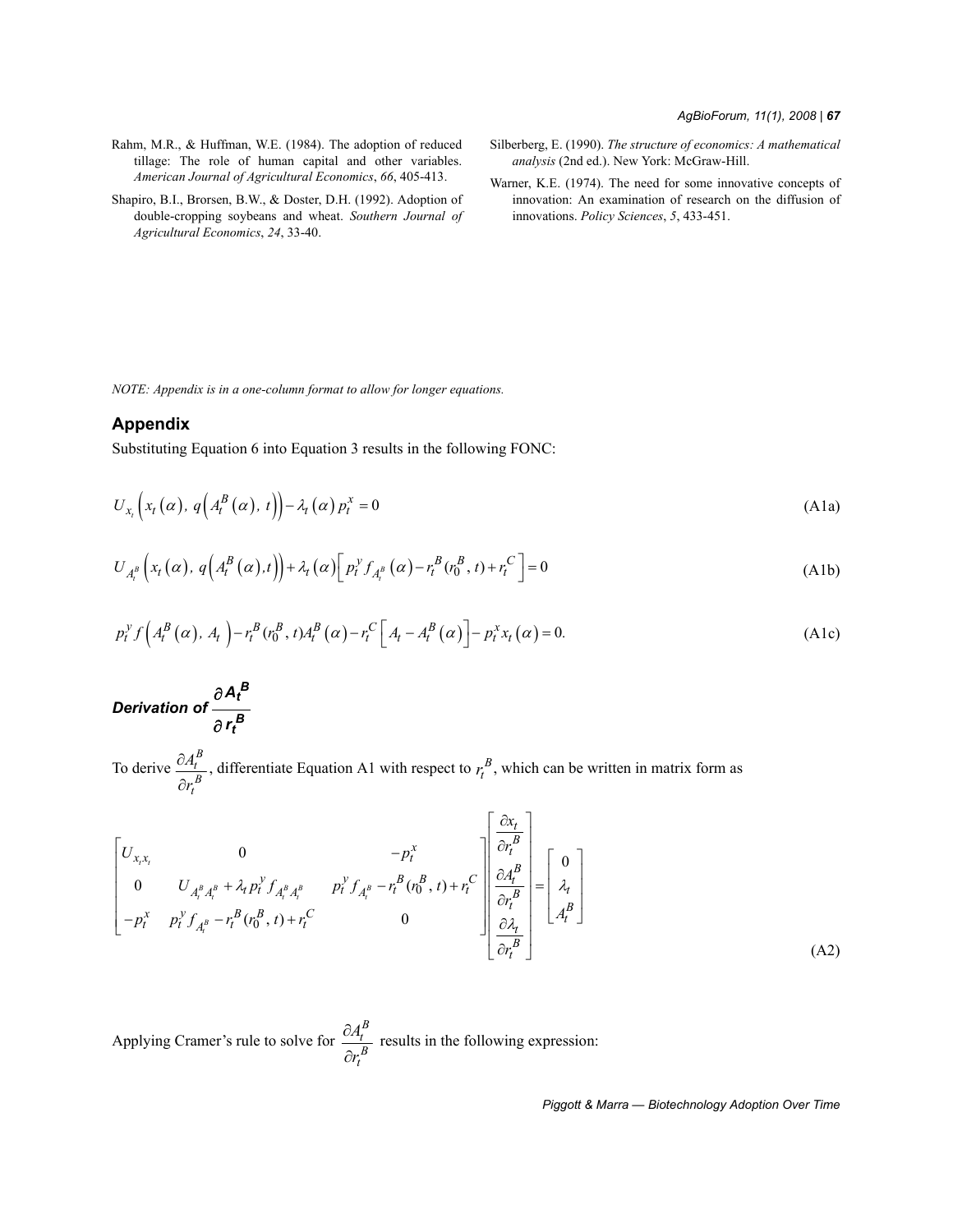- Rahm, M.R., & Huffman, W.E. (1984). The adoption of reduced tillage: The role of human capital and other variables. *American Journal of Agricultural Economics*, *66*, 405-413.
- Shapiro, B.I., Brorsen, B.W., & Doster, D.H. (1992). Adoption of double-cropping soybeans and wheat. *Southern Journal of Agricultural Economics*, *24*, 33-40.
- Silberberg, E. (1990). *The structure of economics: A mathematical analysis* (2nd ed.). New York: McGraw-Hill.
- Warner, K.E. (1974). The need for some innovative concepts of innovation: An examination of research on the diffusion of innovations. *Policy Sciences*, *5*, 433-451.

*NOTE: Appendix is in a one-column format to allow for longer equations.*

# **Appendix**

Substituting Equation 6 into Equation 3 results in the following FONC:

$$
U_{x_t}\left(x_t\left(\alpha\right),\,q\left(A_t^B\left(\alpha\right),\,t\right)\right)-\lambda_t\left(\alpha\right)p_t^x=0\tag{A1a}
$$

$$
U_{A_t^B}\left(x_t(\alpha), q\left(A_t^B(\alpha), t\right)\right) + \lambda_t(\alpha) \left[p_t^{\gamma} f_{A_t^B}(\alpha) - r_t^B(r_0^B, t) + r_t^C\right] = 0
$$
\n(A1b)

$$
p_t^{\gamma} f\left(A_t^B(\alpha), A_t\right) - r_t^B(r_0^B, t) A_t^B(\alpha) - r_t^C \left[A_t - A_t^B(\alpha)\right] - p_t^x x_t(\alpha) = 0. \tag{A1c}
$$

*Derivation of*   $A_t^B$ *rt B* ∂ ∂

To derive  $\frac{U_{t}}{U_{t}}$ , differentiate Equation A1 with respect to  $r_t^B$ , which can be written in matrix form as *B t B t A r* ∂ ∂ *B tr*

$$
\begin{bmatrix}\nU_{x,x_t} & 0 & -p_t^x \\
0 & U_{A_t^B A_t^B} + \lambda_t p_t^{\nu} f_{A_t^B A_t^B} & p_t^{\nu} f_{A_t^B} - r_t^B (r_0^B, t) + r_t^C\n\end{bmatrix}\n\begin{bmatrix}\n\frac{\partial x_t}{\partial r_t^B} \\
\frac{\partial A_t^B}{\partial r_t^B} \\
\frac{\partial r_t^B}{\partial r_t^B}\n\end{bmatrix} =\n\begin{bmatrix}\n0 \\
\lambda_t \\
A_t^B\n\end{bmatrix}
$$
\n
$$
-p_t^x p_t^{\nu} f_{A_t^B} - r_t^B (r_0^B, t) + r_t^C
$$
\n
$$
0
$$
\n(A2)

Applying Cramer's rule to solve for  $\frac{Q_1}{R}$  results in the following expression: *B t B t A r* ∂ ∂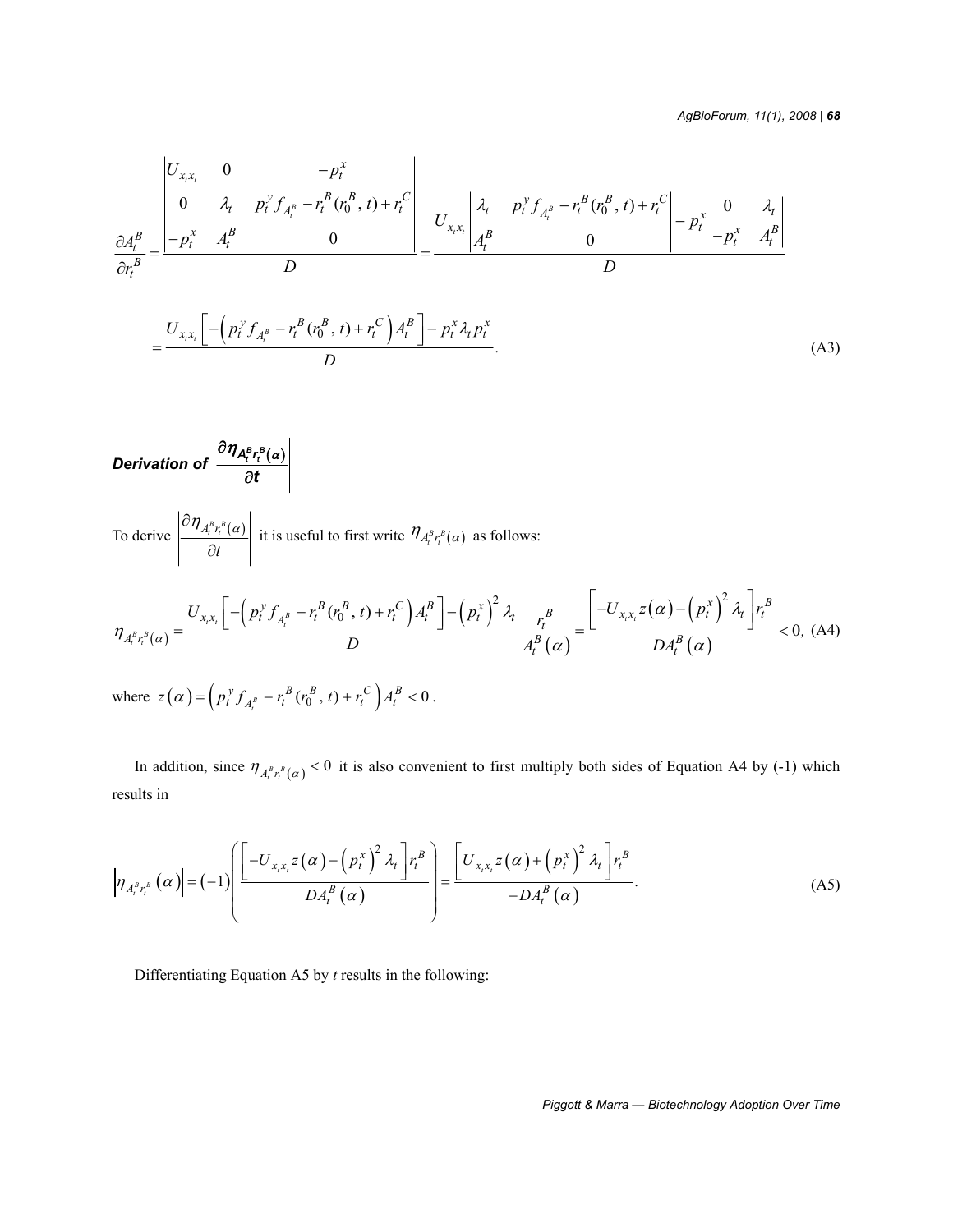*AgBioForum, 11(1), 2008 | 68*

$$
\frac{\partial A_t^B}{\partial r_t^B} = \frac{\begin{vmatrix} U_{x,x_t} & 0 & -p_t^x \\ 0 & \lambda_t & p_t^y f_{A_t^B} - r_t^B (r_0^B, t) + r_t^C \end{vmatrix}}{D} = \frac{U_{x,x_t} \begin{vmatrix} \lambda_t & p_t^y f_{A_t^B} - r_t^B (r_0^B, t) + r_t^C \end{vmatrix}}{D} - \frac{p_t^x}{D} - \frac{p_t^x}{A_t^B} \frac{A_t^B}{D}
$$
\n
$$
= \frac{U_{x,x_t} \left[ -\left( p_t^y f_{A_t^B} - r_t^B (r_0^B, t) + r_t^C \right) A_t^B \right] - p_t^x \lambda_t p_t^x}{D}.
$$
\n(A3)

$$
\text{Derivation of } \left|\frac{\partial \eta_{A_t^B r_t^B(\alpha)}}{\partial t}\right|
$$

To derive  $\left|\frac{U\Pi_{A_i^B r_i^B}(\alpha)}{U\Pi_{A_i^B r_i^B}(\alpha)}\right|$  it is useful to first write  $\eta_{A_i^B r_i^B}(\alpha)$  as follows: *t*  $\partial \eta_{A^B r^B(\alpha)}$  $\left\{\frac{\partial f}{\partial t} \right\}$  it is useful to first write  $\eta_{A_i^B r_i^B}(\alpha)$ 

$$
\eta_{A_t^B r_t^B(\alpha)} = \frac{U_{x,x_t} \left[ -\left( p_t^{\gamma} f_{A_t^B} - r_t^B (r_0^B, t) + r_t^C \right) A_t^B \right] - \left( p_t^{\gamma} \right)^2 \lambda_t}{D} \frac{r_t^B}{A_t^B(\alpha)} = \frac{\left[ -U_{x,x_t} z(\alpha) - \left( p_t^{\gamma} \right)^2 \lambda_t \right] r_t^B}{DA_t^B(\alpha)} < 0, \text{ (A4)}
$$
\nwhere  $z(\alpha) = \left( p_t^{\gamma} f_{A_t^B} - r_t^B (r_0^B, t) + r_t^C \right) A_t^B < 0$ .

In addition, since  $\eta_{A_i^B r_i^B(\alpha)} < 0$  it is also convenient to first multiply both sides of Equation A4 by (-1) which results in

$$
\left|\eta_{A_t^B r_t^B}(\alpha)\right| = (-1) \left( \frac{\left[-U_{x,x_t} z(\alpha) - \left(p_t^x\right)^2 \lambda_t\right] r_t^B}{DA_t^B(\alpha)}\right) = \frac{\left[U_{x,x_t} z(\alpha) + \left(p_t^x\right)^2 \lambda_t\right] r_t^B}{-DA_t^B(\alpha)}.
$$
\n(A5)

Differentiating Equation A5 by *t* results in the following: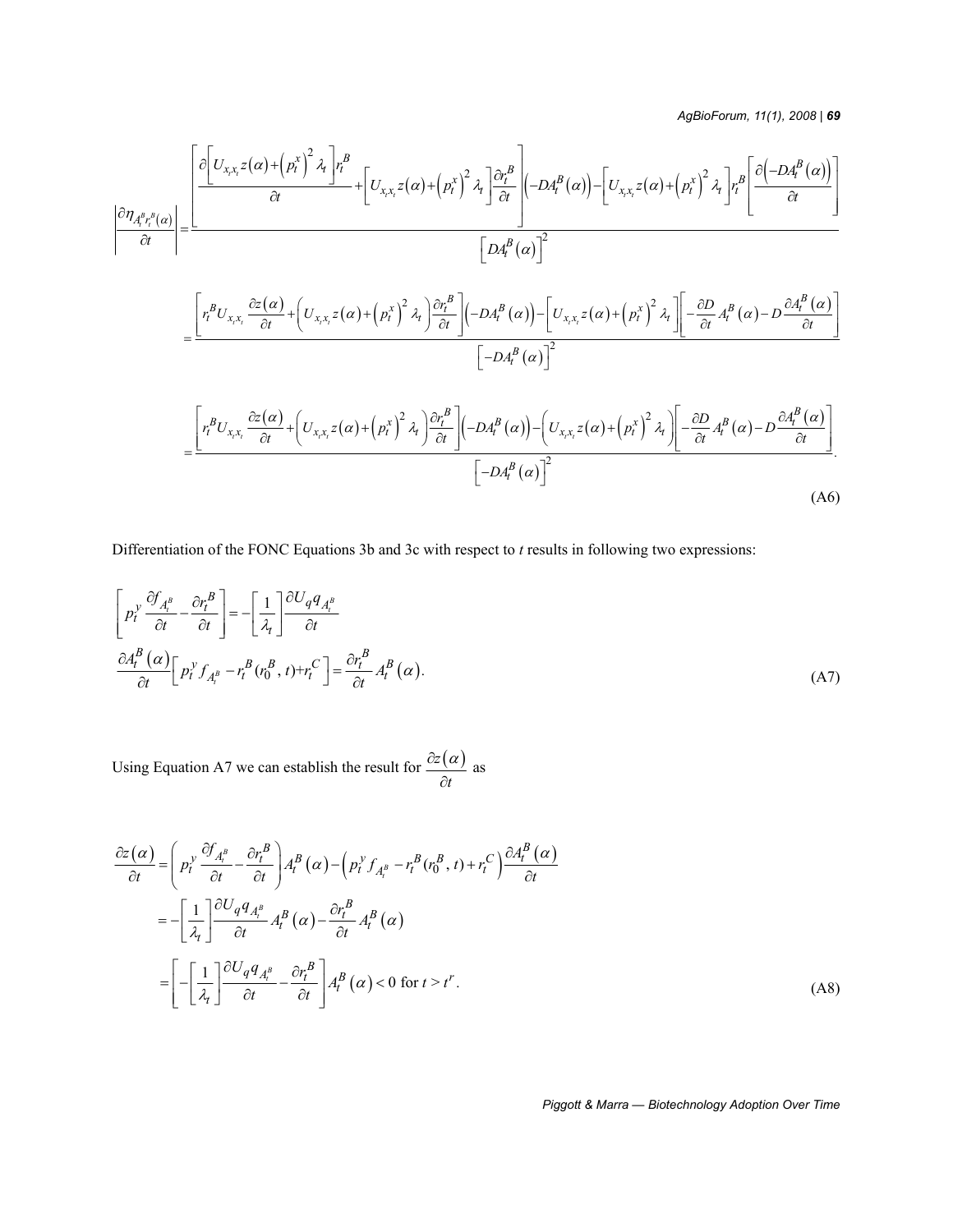*AgBioForum, 11(1), 2008 | 69*

$$
\frac{\left|\frac{\partial\left[U_{x,x,z}(\alpha)+\left(p_{t}^{x}\right)^{2}\lambda_{t}\right]r_{t}^{B}}{\partial t}+\left[U_{x,x,z}z(\alpha)+\left(p_{t}^{x}\right)^{2}\lambda_{t}\right]\frac{\partial r_{t}^{B}}{\partial t}\right|(-DA_{t}^{B}(\alpha))-\left[U_{x,x,z}z(\alpha)+\left(p_{t}^{x}\right)^{2}\lambda_{t}\right]r_{t}^{B}\left[\frac{\partial\left(-DA_{t}^{B}(\alpha)\right)}{\partial t}\right]}{\left[DA_{t}^{B}(\alpha)\right]^{2}}\\=\frac{\left[r_{t}^{B}U_{x,x_{t}}\frac{\partial z(\alpha)}{\partial t}+\left(U_{x,x_{t}}z(\alpha)+\left(p_{t}^{x}\right)^{2}\lambda_{t}\right)\frac{\partial r_{t}^{B}}{\partial t}\right](-DA_{t}^{B}(\alpha))-\left[U_{x,x_{t}}z(\alpha)+\left(p_{t}^{x}\right)^{2}\lambda_{t}\right)\left[-\frac{\partial D}{\partial t}A_{t}^{B}(\alpha)-D\frac{\partial A_{t}^{B}(\alpha)}{\partial t}\right]}{\left[-DA_{t}^{B}(\alpha)\right]^{2}}
$$

$$
= \frac{\left[r_t^B U_{x,x_t} \frac{\partial z(\alpha)}{\partial t} + \left(U_{x,x_t} z(\alpha) + \left(p_t^x\right)^2 \lambda_t\right) \frac{\partial r_t^B}{\partial t}\right] \left(-DA_t^B(\alpha)\right) - \left(U_{x,x_t} z(\alpha) + \left(p_t^x\right)^2 \lambda_t\right) \left[-\frac{\partial D}{\partial t} A_t^B(\alpha) - D\frac{\partial A_t^B(\alpha)}{\partial t}\right]}{\left[-DA_t^B(\alpha)\right]^2} \tag{A6}
$$

Differentiation of the FONC Equations 3b and 3c with respect to *t* results in following two expressions:

$$
\left[p_t^{\gamma} \frac{\partial f_{A_i^B}}{\partial t} - \frac{\partial r_t^B}{\partial t}\right] = -\left[\frac{1}{\lambda_t}\right] \frac{\partial U_q q_{A_i^B}}{\partial t}
$$
\n
$$
\frac{\partial A_t^B(\alpha)}{\partial t} \left[p_t^{\gamma} f_{A_i^B} - r_t^B(r_0^B, t) + r_t^C\right] = \frac{\partial r_t^B}{\partial t} A_t^B(\alpha). \tag{A7}
$$

Using Equation A7 we can establish the result for  $\frac{\partial z(\alpha)}{\partial x}$  as *t*  $\partial z(\alpha$ ∂

$$
\frac{\partial z(\alpha)}{\partial t} = \left( p_t^{\gamma} \frac{\partial f_{A_t^B}}{\partial t} - \frac{\partial r_t^B}{\partial t} \right) A_t^B(\alpha) - \left( p_t^{\gamma} f_{A_t^B} - r_t^B(r_0^B, t) + r_t^C \right) \frac{\partial A_t^B(\alpha)}{\partial t}
$$

$$
= - \left[ \frac{1}{\lambda_t} \right] \frac{\partial U_q q_{A_t^B}}{\partial t} A_t^B(\alpha) - \frac{\partial r_t^B}{\partial t} A_t^B(\alpha)
$$

$$
= \left[ - \left[ \frac{1}{\lambda_t} \right] \frac{\partial U_q q_{A_t^B}}{\partial t} - \frac{\partial r_t^B}{\partial t} \right] A_t^B(\alpha) < 0 \text{ for } t > t^r.
$$
(A8)